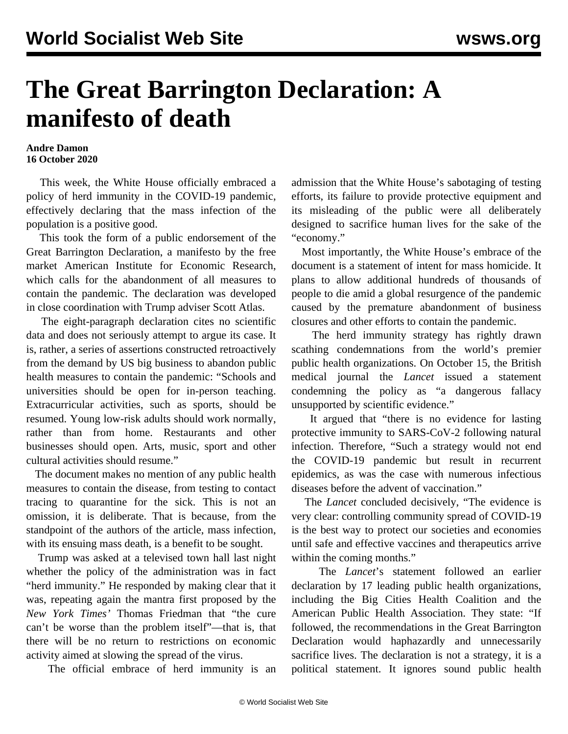## **The Great Barrington Declaration: A manifesto of death**

## **Andre Damon 16 October 2020**

 This week, the White House officially embraced a policy of herd immunity in the COVID-19 pandemic, effectively declaring that the mass infection of the population is a positive good.

 This took the form of a public endorsement of the Great Barrington Declaration, a manifesto by the free market American Institute for Economic Research, which calls for the abandonment of all measures to contain the pandemic. The declaration was developed in close coordination with Trump adviser Scott Atlas.

 The eight-paragraph declaration cites no scientific data and does not seriously attempt to argue its case. It is, rather, a series of assertions constructed retroactively from the demand by US big business to abandon public health measures to contain the pandemic: "Schools and universities should be open for in-person teaching. Extracurricular activities, such as sports, should be resumed. Young low-risk adults should work normally, rather than from home. Restaurants and other businesses should open. Arts, music, sport and other cultural activities should resume."

 The document makes no mention of any public health measures to contain the disease, from testing to contact tracing to quarantine for the sick. This is not an omission, it is deliberate. That is because, from the standpoint of the authors of the article, mass infection, with its ensuing mass death, is a benefit to be sought.

 Trump was asked at a televised town hall last night whether the policy of the administration was in fact "herd immunity." He responded by making clear that it was, repeating again the mantra first proposed by the *New York Times'* Thomas Friedman that "the cure can't be worse than the problem itself"—that is, that there will be no return to restrictions on economic activity aimed at slowing the spread of the virus.

The official embrace of herd immunity is an

admission that the White House's sabotaging of testing efforts, its failure to provide protective equipment and its misleading of the public were all deliberately designed to sacrifice human lives for the sake of the "economy."

 Most importantly, the White House's embrace of the document is a statement of intent for mass homicide. It plans to allow additional hundreds of thousands of people to die amid a global resurgence of the pandemic caused by the premature abandonment of business closures and other efforts to contain the pandemic.

 The herd immunity strategy has rightly drawn scathing condemnations from the world's premier public health organizations. On October 15, the British medical journal the *Lancet* issued a statement condemning the policy as "a dangerous fallacy unsupported by scientific evidence."

 It argued that "there is no evidence for lasting protective immunity to SARS-CoV-2 following natural infection. Therefore, "Such a strategy would not end the COVID-19 pandemic but result in recurrent epidemics, as was the case with numerous infectious diseases before the advent of vaccination."

 The *Lancet* concluded decisively, "The evidence is very clear: controlling community spread of COVID-19 is the best way to protect our societies and economies until safe and effective vaccines and therapeutics arrive within the coming months."

 The *Lancet*'s statement followed an earlier declaration by 17 leading public health organizations, including the Big Cities Health Coalition and the American Public Health Association. They state: "If followed, the recommendations in the Great Barrington Declaration would haphazardly and unnecessarily sacrifice lives. The declaration is not a strategy, it is a political statement. It ignores sound public health